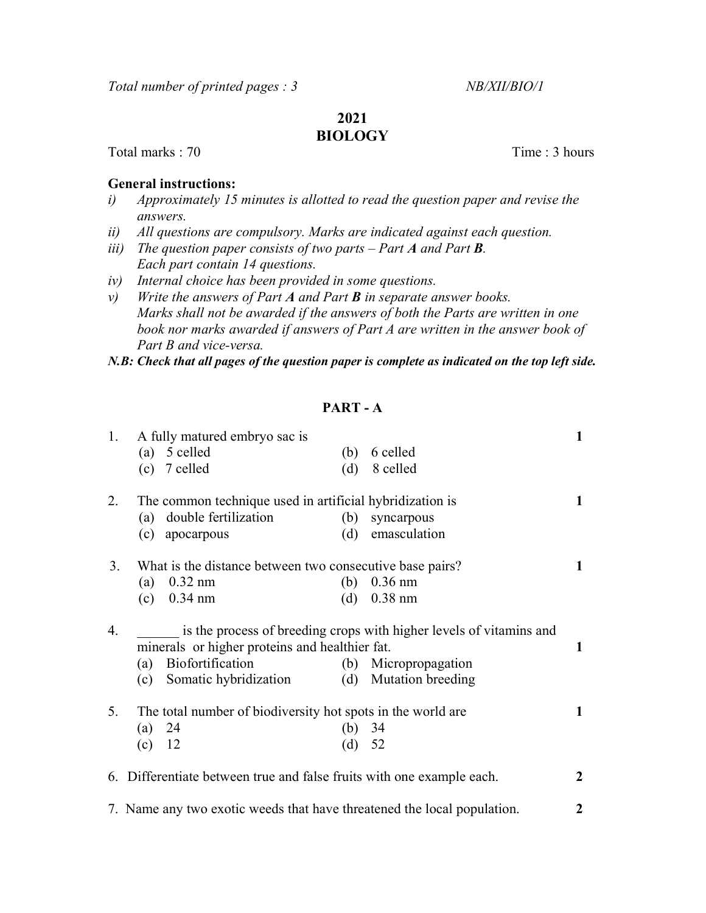# 2021

## BIOLOGY

Total marks : 70 Total marks : 70 Total marks : 70 Total marks : 70 Total marks : 70 Total marks : 70 Total marks : 70 Total marks : 70 Total marks : 70 Total marks : 70 Total marks : 70 Total marks : 70 Total marks : 70 T

#### General instructions:

- i) Approximately 15 minutes is allotted to read the question paper and revise the answers.
- ii) All questions are compulsory. Marks are indicated against each question.
- iii) The question paper consists of two parts Part  $A$  and Part  $B$ . Each part contain 14 questions.
- iv) Internal choice has been provided in some questions.
- $v$ ) Write the answers of Part A and Part **B** in separate answer books. Marks shall not be awarded if the answers of both the Parts are written in one book nor marks awarded if answers of Part A are written in the answer book of Part B and vice-versa.

N.B: Check that all pages of the question paper is complete as indicated on the top left side.

### PART - A

| 1. | A fully matured embryo sac is                                                                                         |          |                       | $\mathbf{1}$     |
|----|-----------------------------------------------------------------------------------------------------------------------|----------|-----------------------|------------------|
|    | $(a)$ 5 celled                                                                                                        | (b)      | 6 celled              |                  |
|    | $(c)$ 7 celled                                                                                                        | (d)      | 8 celled              |                  |
| 2. | The common technique used in artificial hybridization is                                                              |          |                       |                  |
|    | double fertilization<br>(a)                                                                                           | (b)      | syncarpous            |                  |
|    | apocarpous<br>(c)                                                                                                     | (d)      | emasculation          |                  |
| 3. | What is the distance between two consecutive base pairs?                                                              |          |                       | $\mathbf{1}$     |
|    | $0.32$ nm<br>(a)                                                                                                      | (b)      | $0.36$ nm             |                  |
|    | $0.34$ nm<br>(c)                                                                                                      | (d)      | $0.38$ nm             |                  |
| 4. | is the process of breeding crops with higher levels of vitamins and<br>minerals or higher proteins and healthier fat. |          |                       |                  |
|    | Biofortification<br>(a)                                                                                               |          | (b) Micropropagation  | $\mathbf{1}$     |
|    | Somatic hybridization<br>(c)                                                                                          |          | (d) Mutation breeding |                  |
| 5. | The total number of biodiversity hot spots in the world are                                                           |          |                       |                  |
|    | -24<br>(a)                                                                                                            | (b) $34$ |                       |                  |
|    | $(c)$ 12                                                                                                              | (d) 52   |                       |                  |
|    | 6. Differentiate between true and false fruits with one example each.                                                 |          |                       | $\overline{2}$   |
|    | 7. Name any two exotic weeds that have threatened the local population.                                               |          |                       | $\boldsymbol{2}$ |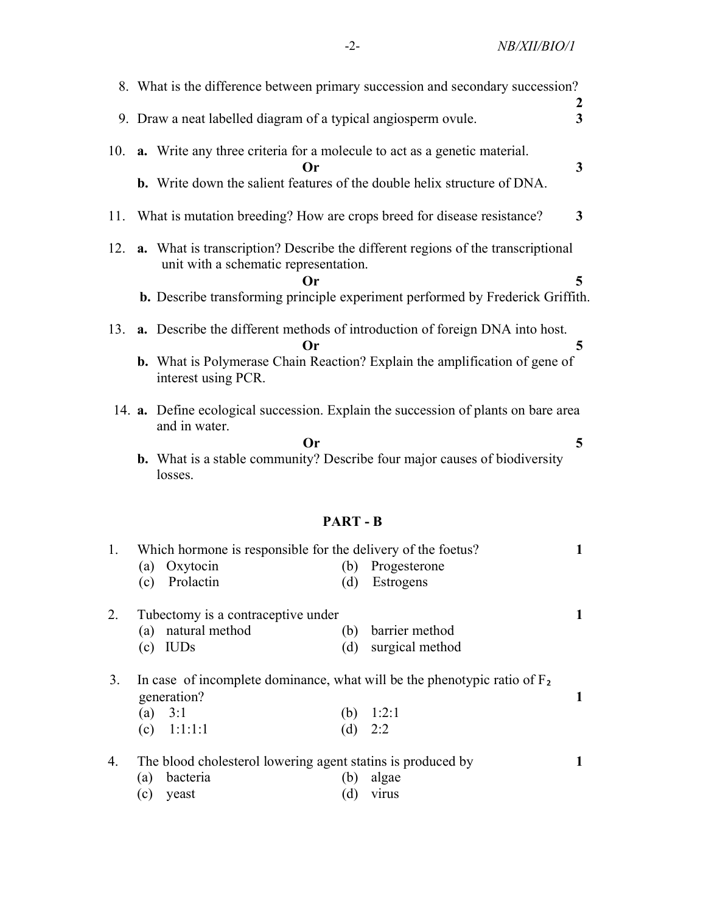|     | 8. What is the difference between primary succession and secondary succession?                                                                                                                                                            |                                    |
|-----|-------------------------------------------------------------------------------------------------------------------------------------------------------------------------------------------------------------------------------------------|------------------------------------|
|     | 9. Draw a neat labelled diagram of a typical angiosperm ovule.                                                                                                                                                                            | $\boldsymbol{2}$<br>$\overline{3}$ |
|     | 10. <b>a.</b> Write any three criteria for a molecule to act as a genetic material.<br>Or                                                                                                                                                 | $\mathbf{3}$                       |
|     | <b>b.</b> Write down the salient features of the double helix structure of DNA.<br>11. What is mutation breeding? How are crops breed for disease resistance?                                                                             | 3                                  |
|     | 12. <b>a.</b> What is transcription? Describe the different regions of the transcriptional<br>unit with a schematic representation.<br><b>Or</b><br><b>b.</b> Describe transforming principle experiment performed by Frederick Griffith. | 5                                  |
| 13. | <b>a.</b> Describe the different methods of introduction of foreign DNA into host.<br>Or<br><b>b.</b> What is Polymerase Chain Reaction? Explain the amplification of gene of<br>interest using PCR.                                      | 5                                  |
|     | 14. <b>a.</b> Define ecological succession. Explain the succession of plants on bare area<br>and in water.<br>Or                                                                                                                          | 5                                  |
|     | <b>b.</b> What is a stable community? Describe four major causes of biodiversity<br>losses.                                                                                                                                               |                                    |

# PART - B

| 1. | Which hormone is responsible for the delivery of the foetus?                               |     |                 |  |
|----|--------------------------------------------------------------------------------------------|-----|-----------------|--|
|    | (a) Oxytocin                                                                               | (b) | Progesterone    |  |
|    | Prolactin<br>(c)                                                                           | (d) | Estrogens       |  |
| 2. | Tubectomy is a contraceptive under                                                         |     |                 |  |
|    | (a) natural method                                                                         | (b) | barrier method  |  |
|    | <b>IUDs</b><br>(c)                                                                         | (d) | surgical method |  |
| 3. | In case of incomplete dominance, what will be the phenotypic ratio of $F_2$<br>generation? |     |                 |  |
|    | (a) $3:1$                                                                                  | (b) | 1:2:1           |  |
|    | (c) $1:1:1:1$                                                                              | (d) | 2:2             |  |
| 4. | The blood cholesterol lowering agent statins is produced by                                |     |                 |  |
|    | bacteria<br>a)                                                                             | (b  | algae           |  |

(c) yeast (d) virus